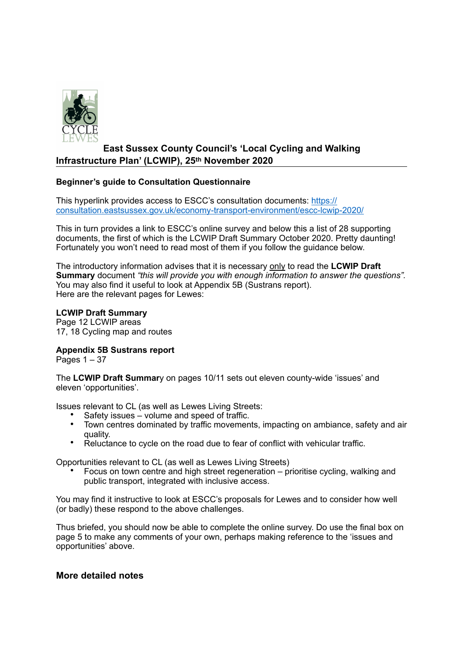

# **East Sussex County Council's 'Local Cycling and Walking Infrastructure Plan' (LCWIP), 25th November 2020**

## **Beginner's guide to Consultation Questionnaire**

This hyperlink provides access to ESCC's consultation documents: [https://](https://consultation.eastsussex.gov.uk/economy-transport-environment/escc-lcwip-2020/) [consultation.eastsussex.gov.uk/economy-transport-environment/escc-lcwip-2020/](https://consultation.eastsussex.gov.uk/economy-transport-environment/escc-lcwip-2020/)

This in turn provides a link to ESCC's online survey and below this a list of 28 supporting documents, the first of which is the LCWIP Draft Summary October 2020. Pretty daunting! Fortunately you won't need to read most of them if you follow the guidance below.

The introductory information advises that it is necessary only to read the **LCWIP Draft Summary** document *"this will provide you with enough information to answer the questions".* You may also find it useful to look at Appendix 5B (Sustrans report). Here are the relevant pages for Lewes:

## **LCWIP Draft Summary**

Page 12 LCWIP areas 17, 18 Cycling map and routes

## **Appendix 5B Sustrans report**

Pages  $1 - 37$ 

The **LCWIP Draft Summar**y on pages 10/11 sets out eleven county-wide 'issues' and eleven 'opportunities'.

Issues relevant to CL (as well as Lewes Living Streets:

- Safety issues volume and speed of traffic.
- Town centres dominated by traffic movements, impacting on ambiance, safety and air quality.
- Reluctance to cycle on the road due to fear of conflict with vehicular traffic.

Opportunities relevant to CL (as well as Lewes Living Streets)

• Focus on town centre and high street regeneration – prioritise cycling, walking and public transport, integrated with inclusive access.

You may find it instructive to look at ESCC's proposals for Lewes and to consider how well (or badly) these respond to the above challenges.

Thus briefed, you should now be able to complete the online survey. Do use the final box on page 5 to make any comments of your own, perhaps making reference to the 'issues and opportunities' above.

## **More detailed notes**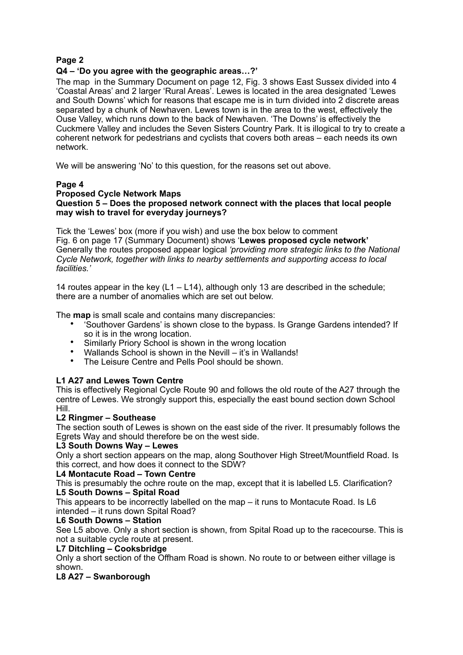## **Page 2**

### **Q4 – 'Do you agree with the geographic areas…?'**

The map in the Summary Document on page 12, Fig. 3 shows East Sussex divided into 4 'Coastal Areas' and 2 larger 'Rural Areas'. Lewes is located in the area designated 'Lewes and South Downs' which for reasons that escape me is in turn divided into 2 discrete areas separated by a chunk of Newhaven. Lewes town is in the area to the west, effectively the Ouse Valley, which runs down to the back of Newhaven. 'The Downs' is effectively the Cuckmere Valley and includes the Seven Sisters Country Park. It is illogical to try to create a coherent network for pedestrians and cyclists that covers both areas – each needs its own network.

We will be answering 'No' to this question, for the reasons set out above.

#### **Page 4**

#### **Proposed Cycle Network Maps Question 5 – Does the proposed network connect with the places that local people may wish to travel for everyday journeys?**

Tick the 'Lewes' box (more if you wish) and use the box below to comment Fig. 6 on page 17 (Summary Document) shows '**Lewes proposed cycle network'**  Generally the routes proposed appear logical *'providing more strategic links to the National Cycle Network, together with links to nearby settlements and supporting access to local facilities.'* 

14 routes appear in the key  $(L1 - L14)$ , although only 13 are described in the schedule; there are a number of anomalies which are set out below.

The **map** is small scale and contains many discrepancies:

- 'Southover Gardens' is shown close to the bypass. Is Grange Gardens intended? If so it is in the wrong location.
- Similarly Priory School is shown in the wrong location
- Wallands School is shown in the Nevill it's in Wallands!<br>• The Leisure Centre and Pells Pool should be shown
- The Leisure Centre and Pells Pool should be shown.

#### **L1 A27 and Lewes Town Centre**

This is effectively Regional Cycle Route 90 and follows the old route of the A27 through the centre of Lewes. We strongly support this, especially the east bound section down School Hill.

#### **L2 Ringmer – Southease**

The section south of Lewes is shown on the east side of the river. It presumably follows the Egrets Way and should therefore be on the west side.

#### **L3 South Downs Way – Lewes**

Only a short section appears on the map, along Southover High Street/Mountfield Road. Is this correct, and how does it connect to the SDW?

#### **L4 Montacute Road – Town Centre**

This is presumably the ochre route on the map, except that it is labelled L5. Clarification? **L5 South Downs – Spital Road** 

This appears to be incorrectly labelled on the map – it runs to Montacute Road. Is L6 intended – it runs down Spital Road?

#### **L6 South Downs – Station**

See L5 above. Only a short section is shown, from Spital Road up to the racecourse. This is not a suitable cycle route at present.

#### **L7 Ditchling – Cooksbridge**

Only a short section of the Offham Road is shown. No route to or between either village is shown.

#### **L8 A27 – Swanborough**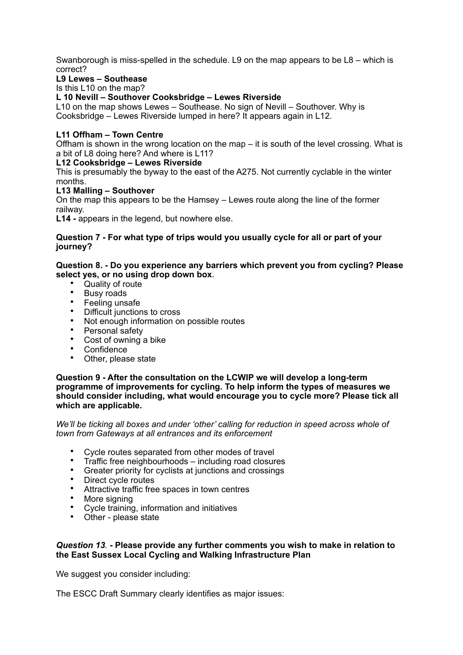Swanborough is miss-spelled in the schedule. L9 on the map appears to be L8 – which is correct?

## **L9 Lewes – Southease**

Is this L10 on the map?

**L 10 Nevill – Southover Cooksbridge – Lewes Riverside** 

L10 on the map shows Lewes – Southease. No sign of Nevill – Southover. Why is Cooksbridge – Lewes Riverside lumped in here? It appears again in L12.

## **L11 Offham – Town Centre**

Offham is shown in the wrong location on the map – it is south of the level crossing. What is a bit of L8 doing here? And where is L11?

## **L12 Cooksbridge – Lewes Riverside**

This is presumably the byway to the east of the A275. Not currently cyclable in the winter months.

## **L13 Malling – Southover**

On the map this appears to be the Hamsey – Lewes route along the line of the former railway.

**L14 -** appears in the legend, but nowhere else.

#### **Question 7 - For what type of trips would you usually cycle for all or part of your journey?**

### **Question 8. - Do you experience any barriers which prevent you from cycling? Please select yes, or no using drop down box.**

- Quality of route
- Busy roads
- Feeling unsafe
- Difficult junctions to cross
- Not enough information on possible routes
- Personal safety
- Cost of owning a bike
- Confidence
- Other, please state

#### **Question 9 - After the consultation on the LCWIP we will develop a long-term programme of improvements for cycling. To help inform the types of measures we should consider including, what would encourage you to cycle more? Please tick all which are applicable.**

*We'll be ticking all boxes and under 'other' calling for reduction in speed across whole of town from Gateways at all entrances and its enforcement* 

- Cycle routes separated from other modes of travel
- Traffic free neighbourhoods including road closures
- Greater priority for cyclists at junctions and crossings
- Direct cycle routes<br>• Attractive traffic free
- Attractive traffic free spaces in town centres
- More signing<br>• Cycle training
- Cycle training, information and initiatives
- Other please state

#### *Question 13.* **- Please provide any further comments you wish to make in relation to the East Sussex Local Cycling and Walking Infrastructure Plan**

We suggest you consider including:

The ESCC Draft Summary clearly identifies as major issues: